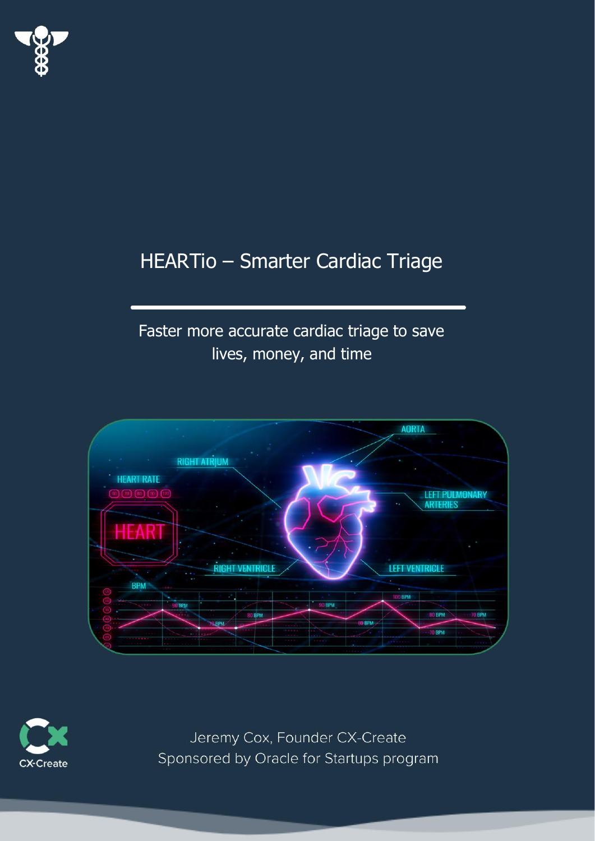

## HEARTio – Smarter Cardiac Triage

## Faster more accurate cardiac triage to save lives, money, and time





Jeremy Cox, Founder CX-Create Sponsored by Oracle for Startups program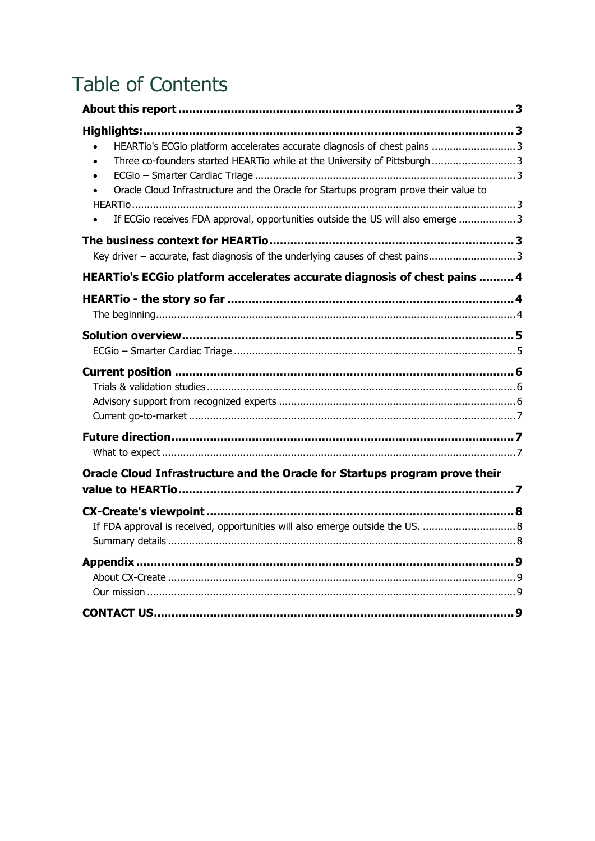# Table of Contents

| HEARTio's ECGio platform accelerates accurate diagnosis of chest pains  3<br>$\bullet$<br>Three co-founders started HEARTio while at the University of Pittsburgh3<br>$\bullet$<br>Oracle Cloud Infrastructure and the Oracle for Startups program prove their value to<br>If ECGio receives FDA approval, opportunities outside the US will also emerge 3<br>$\bullet$ |  |
|-------------------------------------------------------------------------------------------------------------------------------------------------------------------------------------------------------------------------------------------------------------------------------------------------------------------------------------------------------------------------|--|
| Key driver - accurate, fast diagnosis of the underlying causes of chest pains3                                                                                                                                                                                                                                                                                          |  |
| HEARTio's ECGio platform accelerates accurate diagnosis of chest pains  4                                                                                                                                                                                                                                                                                               |  |
|                                                                                                                                                                                                                                                                                                                                                                         |  |
|                                                                                                                                                                                                                                                                                                                                                                         |  |
|                                                                                                                                                                                                                                                                                                                                                                         |  |
|                                                                                                                                                                                                                                                                                                                                                                         |  |
| Oracle Cloud Infrastructure and the Oracle for Startups program prove their                                                                                                                                                                                                                                                                                             |  |
|                                                                                                                                                                                                                                                                                                                                                                         |  |
|                                                                                                                                                                                                                                                                                                                                                                         |  |
|                                                                                                                                                                                                                                                                                                                                                                         |  |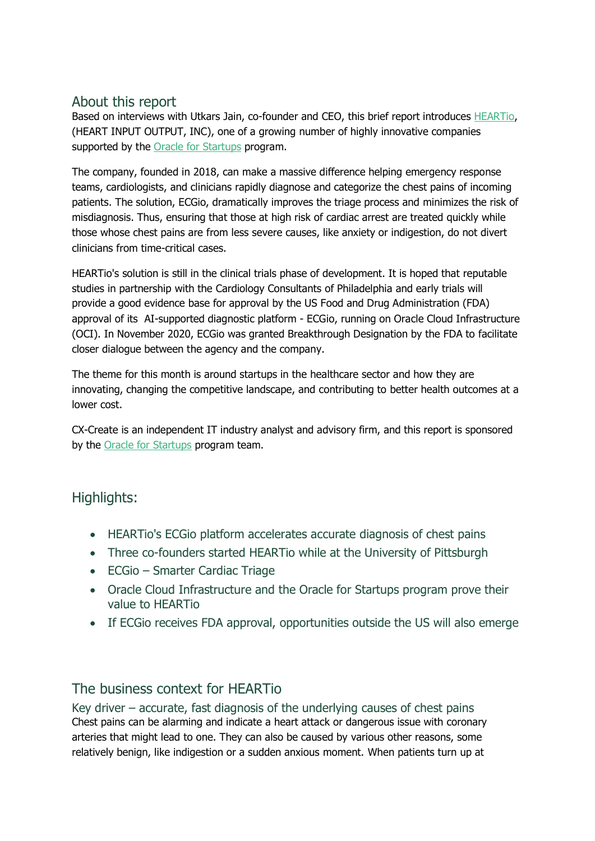## <span id="page-2-0"></span>About this report

Based on interviews with Utkars Jain, co-founder and CEO, this brief report introduces [HEARTio,](https://www.heartio.ai/) (HEART INPUT OUTPUT, INC), one of a growing number of highly innovative companies supported by the **Oracle for Startups** program.

The company, founded in 2018, can make a massive difference helping emergency response teams, cardiologists, and clinicians rapidly diagnose and categorize the chest pains of incoming patients. The solution, ECGio, dramatically improves the triage process and minimizes the risk of misdiagnosis. Thus, ensuring that those at high risk of cardiac arrest are treated quickly while those whose chest pains are from less severe causes, like anxiety or indigestion, do not divert clinicians from time-critical cases.

HEARTio's solution is still in the clinical trials phase of development. It is hoped that reputable studies in partnership with the Cardiology Consultants of Philadelphia and early trials will provide a good evidence base for approval by the US Food and Drug Administration (FDA) approval of its AI-supported diagnostic platform - ECGio, running on Oracle Cloud Infrastructure (OCI). In November 2020, ECGio was granted Breakthrough Designation by the FDA to facilitate closer dialogue between the agency and the company.

The theme for this month is around startups in the healthcare sector and how they are innovating, changing the competitive landscape, and contributing to better health outcomes at a lower cost.

CX-Create is an independent IT industry analyst and advisory firm, and this report is sponsored by the [Oracle for Startups](https://www.oracle.com/startup/) program team.

## <span id="page-2-1"></span>Highlights:

- <span id="page-2-2"></span>• HEARTio's ECGio platform accelerates accurate diagnosis of chest pains
- <span id="page-2-3"></span>• Three co-founders started HEARTio while at the University of Pittsburgh
- <span id="page-2-4"></span>• ECGio – Smarter Cardiac Triage
- <span id="page-2-5"></span>• Oracle Cloud Infrastructure and the Oracle for Startups program prove their value to HEARTio
- <span id="page-2-6"></span>• If ECGio receives FDA approval, opportunities outside the US will also emerge

## <span id="page-2-7"></span>The business context for HEARTio

<span id="page-2-8"></span>Key driver – accurate, fast diagnosis of the underlying causes of chest pains Chest pains can be alarming and indicate a heart attack or dangerous issue with coronary arteries that might lead to one. They can also be caused by various other reasons, some relatively benign, like indigestion or a sudden anxious moment. When patients turn up at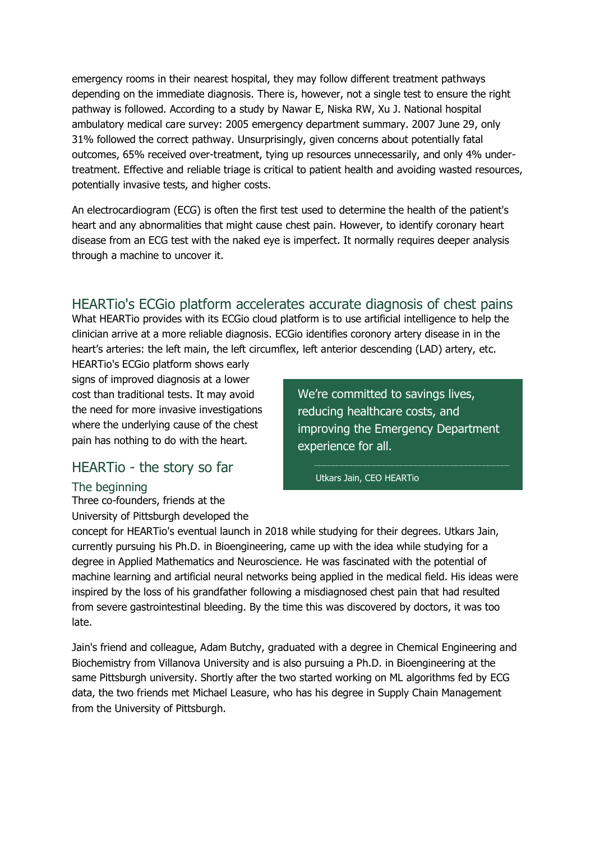emergency rooms in their nearest hospital, they may follow different treatment pathways depending on the immediate diagnosis. There is, however, not a single test to ensure the right pathway is followed. According to a study by Nawar E, Niska RW, Xu J. National hospital ambulatory medical care survey: 2005 emergency department summary. 2007 June 29, only 31% followed the correct pathway. Unsurprisingly, given concerns about potentially fatal outcomes, 65% received over-treatment, tying up resources unnecessarily, and only 4% undertreatment. Effective and reliable triage is critical to patient health and avoiding wasted resources, potentially invasive tests, and higher costs.

An electrocardiogram (ECG) is often the first test used to determine the health of the patient's heart and any abnormalities that might cause chest pain. However, to identify coronary heart disease from an ECG test with the naked eye is imperfect. It normally requires deeper analysis through a machine to uncover it.

## <span id="page-3-0"></span>HEARTio's ECGio platform accelerates accurate diagnosis of chest pains

What HEARTio provides with its ECGio cloud platform is to use artificial intelligence to help the clinician arrive at a more reliable diagnosis. ECGio identifies coronory artery disease in in the heart's arteries: the left main, the left circumflex, left anterior descending (LAD) artery, etc.

HEARTio's ECGio platform shows early signs of improved diagnosis at a lower cost than traditional tests. It may avoid the need for more invasive investigations where the underlying cause of the chest pain has nothing to do with the heart.

## <span id="page-3-1"></span>HEARTio - the story so far

#### <span id="page-3-2"></span>The beginning

Three co-founders, friends at the University of Pittsburgh developed the We're committed to savings lives, reducing healthcare costs, and improving the Emergency Department experience for all.

Utkars Jain, CEO HEARTio

concept for HEARTio's eventual launch in 2018 while studying for their degrees. Utkars Jain, currently pursuing his Ph.D. in Bioengineering, came up with the idea while studying for a degree in Applied Mathematics and Neuroscience. He was fascinated with the potential of machine learning and artificial neural networks being applied in the medical field. His ideas were inspired by the loss of his grandfather following a misdiagnosed chest pain that had resulted from severe gastrointestinal bleeding. By the time this was discovered by doctors, it was too late.

Jain's friend and colleague, Adam Butchy, graduated with a degree in Chemical Engineering and Biochemistry from Villanova University and is also pursuing a Ph.D. in Bioengineering at the same Pittsburgh university. Shortly after the two started working on ML algorithms fed by ECG data, the two friends met Michael Leasure, who has his degree in Supply Chain Management from the University of Pittsburgh.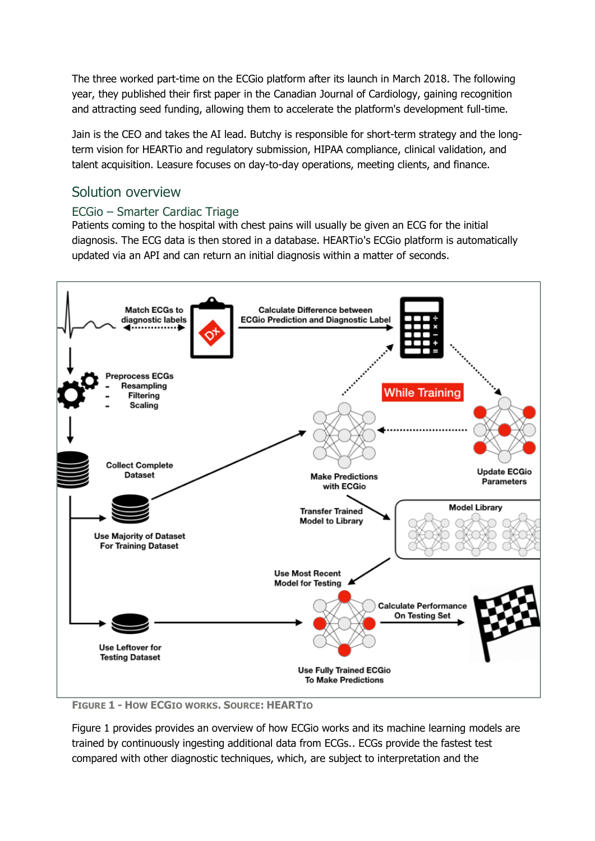The three worked part-time on the ECGio platform after its launch in March 2018. The following year, they published their first paper in the Canadian Journal of Cardiology, gaining recognition and attracting seed funding, allowing them to accelerate the platform's development full-time.

Jain is the CEO and takes the AI lead. Butchy is responsible for short-term strategy and the longterm vision for HEARTio and regulatory submission, HIPAA compliance, clinical validation, and talent acquisition. Leasure focuses on day-to-day operations, meeting clients, and finance.

## <span id="page-4-0"></span>Solution overview

#### <span id="page-4-1"></span>ECGio – Smarter Cardiac Triage

Patients coming to the hospital with chest pains will usually be given an ECG for the initial diagnosis. The ECG data is then stored in a database. HEARTio's ECGio platform is automatically updated via an API and can return an initial diagnosis within a matter of seconds.



**FIGURE 1 - HOW ECGIO WORKS. SOURCE: HEARTIO**

Figure 1 provides provides an overview of how ECGio works and its machine learning models are trained by continuously ingesting additional data from ECGs.. ECGs provide the fastest test compared with other diagnostic techniques, which, are subject to interpretation and the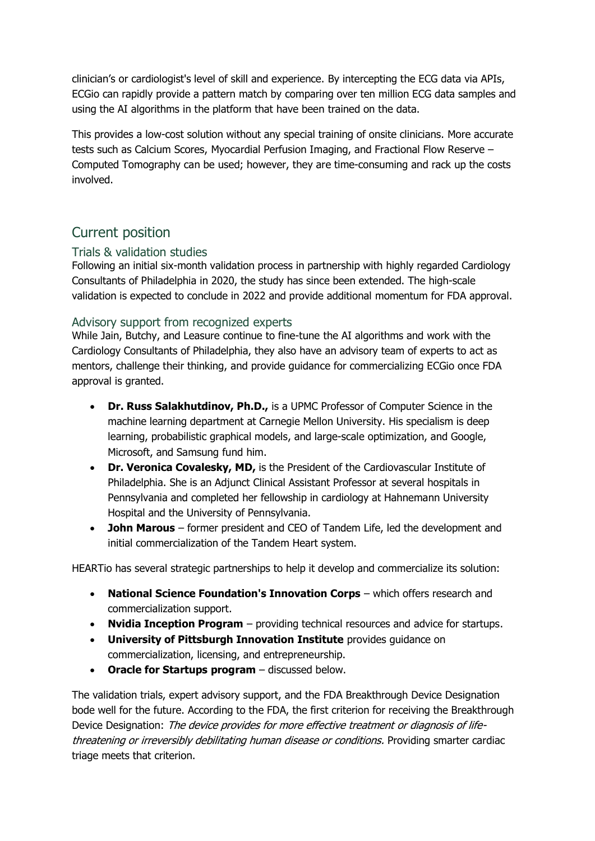clinician's or cardiologist's level of skill and experience. By intercepting the ECG data via APIs, ECGio can rapidly provide a pattern match by comparing over ten million ECG data samples and using the AI algorithms in the platform that have been trained on the data.

This provides a low-cost solution without any special training of onsite clinicians. More accurate tests such as Calcium Scores, Myocardial Perfusion Imaging, and Fractional Flow Reserve – Computed Tomography can be used; however, they are time-consuming and rack up the costs involved.

## <span id="page-5-0"></span>Current position

#### <span id="page-5-1"></span>Trials & validation studies

Following an initial six-month validation process in partnership with highly regarded Cardiology Consultants of Philadelphia in 2020, the study has since been extended. The high-scale validation is expected to conclude in 2022 and provide additional momentum for FDA approval.

#### <span id="page-5-2"></span>Advisory support from recognized experts

While Jain, Butchy, and Leasure continue to fine-tune the AI algorithms and work with the Cardiology Consultants of Philadelphia, they also have an advisory team of experts to act as mentors, challenge their thinking, and provide guidance for commercializing ECGio once FDA approval is granted.

- **Dr. Russ Salakhutdinov, Ph.D.,** is a UPMC Professor of Computer Science in the machine learning department at Carnegie Mellon University. His specialism is deep learning, probabilistic graphical models, and large-scale optimization, and Google, Microsoft, and Samsung fund him.
- **Dr. Veronica Covalesky, MD,** is the President of the Cardiovascular Institute of Philadelphia. She is an Adjunct Clinical Assistant Professor at several hospitals in Pennsylvania and completed her fellowship in cardiology at Hahnemann University Hospital and the University of Pennsylvania.
- **John Marous** former president and CEO of Tandem Life, led the development and initial commercialization of the Tandem Heart system.

HEARTio has several strategic partnerships to help it develop and commercialize its solution:

- **National Science Foundation's Innovation Corps** which offers research and commercialization support.
- **Nvidia Inception Program** providing technical resources and advice for startups.
- **University of Pittsburgh Innovation Institute** provides guidance on commercialization, licensing, and entrepreneurship.
- **Oracle for Startups program** discussed below.

The validation trials, expert advisory support, and the FDA Breakthrough Device Designation bode well for the future. According to the FDA, the first criterion for receiving the Breakthrough Device Designation: The device provides for more effective treatment or diagnosis of lifethreatening or irreversibly debilitating human disease or conditions. Providing smarter cardiac triage meets that criterion.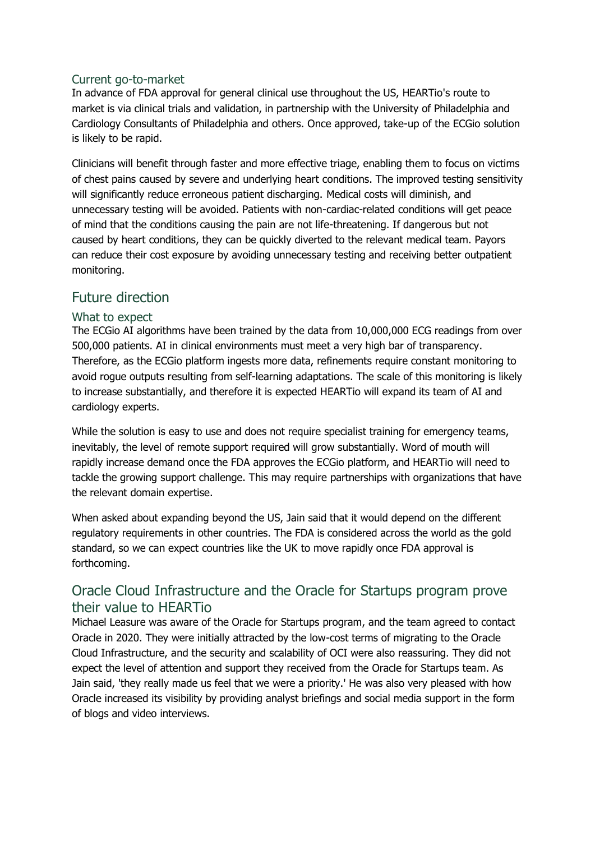#### <span id="page-6-0"></span>Current go-to-market

In advance of FDA approval for general clinical use throughout the US, HEARTio's route to market is via clinical trials and validation, in partnership with the University of Philadelphia and Cardiology Consultants of Philadelphia and others. Once approved, take-up of the ECGio solution is likely to be rapid.

Clinicians will benefit through faster and more effective triage, enabling them to focus on victims of chest pains caused by severe and underlying heart conditions. The improved testing sensitivity will significantly reduce erroneous patient discharging. Medical costs will diminish, and unnecessary testing will be avoided. Patients with non-cardiac-related conditions will get peace of mind that the conditions causing the pain are not life-threatening. If dangerous but not caused by heart conditions, they can be quickly diverted to the relevant medical team. Payors can reduce their cost exposure by avoiding unnecessary testing and receiving better outpatient monitoring.

### <span id="page-6-1"></span>Future direction

#### <span id="page-6-2"></span>What to expect

The ECGio AI algorithms have been trained by the data from 10,000,000 ECG readings from over 500,000 patients. AI in clinical environments must meet a very high bar of transparency. Therefore, as the ECGio platform ingests more data, refinements require constant monitoring to avoid rogue outputs resulting from self-learning adaptations. The scale of this monitoring is likely to increase substantially, and therefore it is expected HEARTio will expand its team of AI and cardiology experts.

While the solution is easy to use and does not require specialist training for emergency teams, inevitably, the level of remote support required will grow substantially. Word of mouth will rapidly increase demand once the FDA approves the ECGio platform, and HEARTio will need to tackle the growing support challenge. This may require partnerships with organizations that have the relevant domain expertise.

When asked about expanding beyond the US, Jain said that it would depend on the different regulatory requirements in other countries. The FDA is considered across the world as the gold standard, so we can expect countries like the UK to move rapidly once FDA approval is forthcoming.

## <span id="page-6-3"></span>Oracle Cloud Infrastructure and the Oracle for Startups program prove their value to HEARTio

Michael Leasure was aware of the Oracle for Startups program, and the team agreed to contact Oracle in 2020. They were initially attracted by the low-cost terms of migrating to the Oracle Cloud Infrastructure, and the security and scalability of OCI were also reassuring. They did not expect the level of attention and support they received from the Oracle for Startups team. As Jain said, 'they really made us feel that we were a priority.' He was also very pleased with how Oracle increased its visibility by providing analyst briefings and social media support in the form of blogs and video interviews.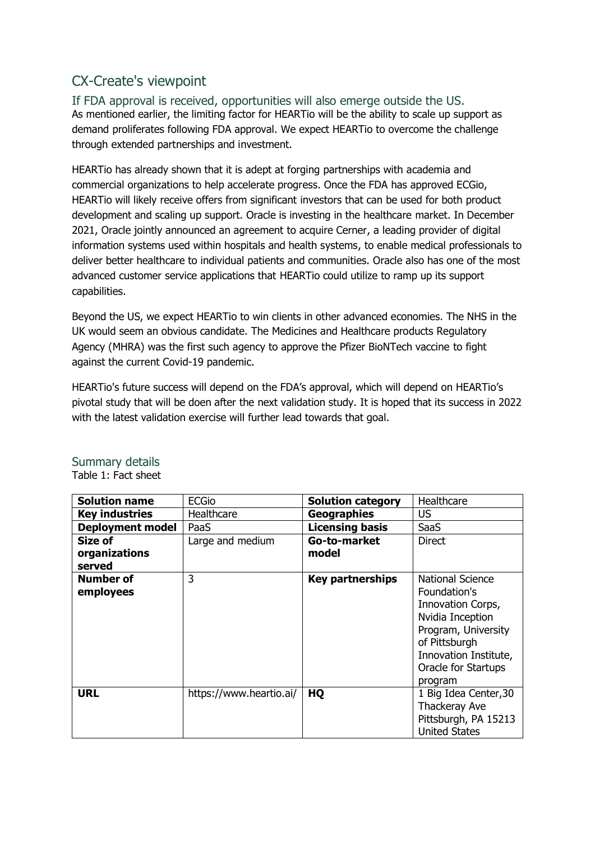## <span id="page-7-0"></span>CX-Create's viewpoint

<span id="page-7-1"></span>If FDA approval is received, opportunities will also emerge outside the US. As mentioned earlier, the limiting factor for HEARTio will be the ability to scale up support as demand proliferates following FDA approval. We expect HEARTio to overcome the challenge through extended partnerships and investment.

HEARTio has already shown that it is adept at forging partnerships with academia and commercial organizations to help accelerate progress. Once the FDA has approved ECGio, HEARTio will likely receive offers from significant investors that can be used for both product development and scaling up support. Oracle is investing in the healthcare market. In December 2021, Oracle jointly announced an agreement to acquire Cerner, a leading provider of digital information systems used within hospitals and health systems, to enable medical professionals to deliver better healthcare to individual patients and communities. Oracle also has one of the most advanced customer service applications that HEARTio could utilize to ramp up its support capabilities.

Beyond the US, we expect HEARTio to win clients in other advanced economies. The NHS in the UK would seem an obvious candidate. The Medicines and Healthcare products Regulatory Agency (MHRA) was the first such agency to approve the Pfizer BioNTech vaccine to fight against the current Covid-19 pandemic.

HEARTio's future success will depend on the FDA's approval, which will depend on HEARTio's pivotal study that will be doen after the next validation study. It is hoped that its success in 2022 with the latest validation exercise will further lead towards that goal.

| <b>Solution name</b>          | <b>ECGio</b>            | <b>Solution category</b> | Healthcare                                                                                                                                                                   |
|-------------------------------|-------------------------|--------------------------|------------------------------------------------------------------------------------------------------------------------------------------------------------------------------|
| <b>Key industries</b>         | Healthcare              | <b>Geographies</b>       | <b>US</b>                                                                                                                                                                    |
| <b>Deployment model</b>       | PaaS                    | <b>Licensing basis</b>   | <b>SaaS</b>                                                                                                                                                                  |
| Size of                       | Large and medium        | Go-to-market             | <b>Direct</b>                                                                                                                                                                |
| organizations<br>served       |                         | model                    |                                                                                                                                                                              |
| <b>Number of</b><br>employees | 3                       | <b>Key partnerships</b>  | National Science<br>Foundation's<br>Innovation Corps,<br>Nvidia Inception<br>Program, University<br>of Pittsburgh<br>Innovation Institute,<br>Oracle for Startups<br>program |
| <b>URL</b>                    | https://www.heartio.ai/ | HQ                       | 1 Big Idea Center, 30<br>Thackeray Ave<br>Pittsburgh, PA 15213<br><b>United States</b>                                                                                       |

## <span id="page-7-2"></span>Summary details

Table 1: Fact sheet